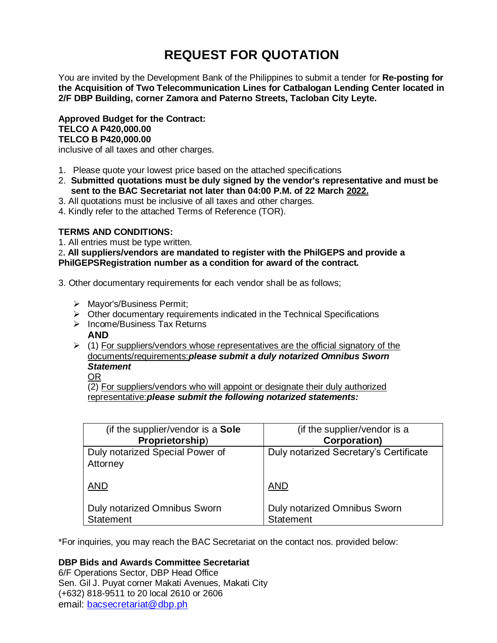# **REQUEST FOR QUOTATION**

You are invited by the Development Bank of the Philippines to submit a tender for **Re-posting for the Acquisition of Two Telecommunication Lines for Catbalogan Lending Center located in 2/F DBP Building, corner Zamora and Paterno Streets, Tacloban City Leyte.**

**Approved Budget for the Contract: TELCO A P420,000.00 TELCO B P420,000.00**

inclusive of all taxes and other charges.

- 1. Please quote your lowest price based on the attached specifications
- 2. **Submitted quotations must be duly signed by the vendor's representative and must be sent to the BAC Secretariat not later than 04:00 P.M. of 22 March 2022.**
- 3. All quotations must be inclusive of all taxes and other charges.
- 4. Kindly refer to the attached Terms of Reference (TOR).

# **TERMS AND CONDITIONS:**

1. All entries must be type written.

2**. All suppliers/vendors are mandated to register with the PhilGEPS and provide a PhilGEPSRegistration number as a condition for award of the contract.**

3. Other documentary requirements for each vendor shall be as follows;

- > Mayor's/Business Permit;
- $\triangleright$  Other documentary requirements indicated in the Technical Specifications
- $\triangleright$  Income/Business Tax Returns

# **AND**

 $\geq$  (1) For suppliers/vendors whose representatives are the official signatory of the documents/requirements:*please submit a duly notarized Omnibus Sworn Statement*

OR

(2) For suppliers/vendors who will appoint or designate their duly authorized representative:*please submit the following notarized statements:*

| (if the supplier/vendor is a Sole                       | (if the supplier/vendor is a                     |
|---------------------------------------------------------|--------------------------------------------------|
| Proprietorship)                                         | Corporation)                                     |
| Duly notarized Special Power of<br>Attorney             | Duly notarized Secretary's Certificate           |
| <b>AND</b>                                              | <b>AND</b>                                       |
| <b>Duly notarized Omnibus Sworn</b><br><b>Statement</b> | Duly notarized Omnibus Sworn<br><b>Statement</b> |

\*For inquiries, you may reach the BAC Secretariat on the contact nos. provided below:

# **DBP Bids and Awards Committee Secretariat**

6/F Operations Sector, DBP Head Office Sen. Gil J. Puyat corner Makati Avenues, Makati City (+632) 818-9511 to 20 local 2610 or 2606 email: [bacsecretariat@dbp.ph](mailto:bacsecretariat@dbp.ph)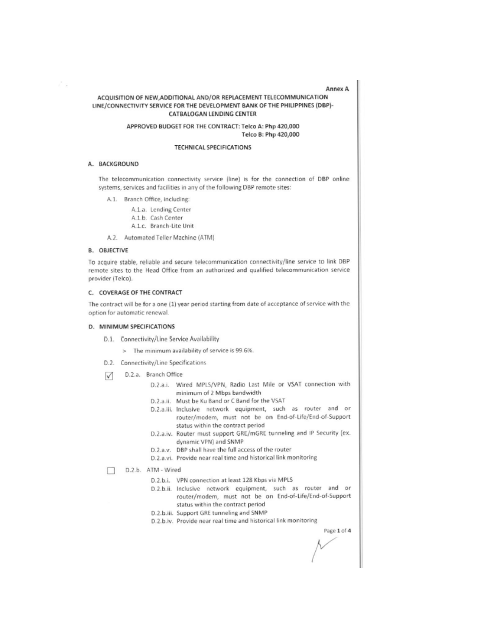Annex A

# ACQUISITION OF NEW, ADDITIONAL AND/OR REPLACEMENT TELECOMMUNICATION LINE/CONNECTIVITY SERVICE FOR THE DEVELOPMENT BANK OF THE PHILIPPINES (DBP)-CATBALOGAN LENDING CENTER

APPROVED BUDGET FOR THE CONTRACT: Telco A: Php 420,000 Telco B: Php 420,000

#### **TECHNICAL SPECIFICATIONS**

#### A. BACKGROUND

řπ

The telecommunication connectivity service (line) is for the connection of DBP online systems, services and facilities in any of the following DBP remote sites:

- A.1. Branch Office, including:
	- A.1.a. Lending Center
	- A.1.b. Cash Center
	- A.1.c. Branch-Lite Unit

A.2. Automated Teller Machine (ATM)

### **B. OBJECTIVE**

To acquire stable, reliable and secure telecommunication connectivity/line service to link DBP remote sites to the Head Office from an authorized and qualified telecommunication service provider (Telco).

#### C. COVERAGE OF THE CONTRACT

The contract will be for a one (1) year period starting from date of acceptance of service with the option for automatic renewal.

## D. MINIMUM SPECIFICATIONS

- D.1. Connectivity/Line Service Availability
	- > The minimum availability of service is 99.6%.
- D.2. Connectivity/Line Specifications
- D.2.a. Branch Office  $\sqrt{}$ 
	- D.2.a.i. Wired MPLS/VPN, Radio Last Mile or VSAT connection with minimum of 2 Mbps bandwidth
	- D.2.a.ii. Must be Ku Band or C Band for the VSAT
	- D.2.a.iii. Inclusive network equipment, such as router and or router/modem, must not be on End-of-Life/End-of-Support status within the contract period
	- D.2.a.iv. Router must support GRE/mGRE tunneling and IP Security (ex. dynamic VPN) and SNMP
	- D.2.a.v. DBP shall have the full access of the router
	- D.2.a.vi. Provide near real time and historical link monitoring
- D.2.b. ATM Wired П
	- D.2.b.i. VPN connection at least 128 Kbps via MPLS
	- D.2.b.ii. Inclusive network equipment, such as router and or router/modem, must not be on End-of-Life/End-of-Support status within the contract period
	- D.2.b.iii. Support GRE tunneling and SNMP
	- D.2.b.iv. Provide near real time and historical link monitoring

Page 1 of 4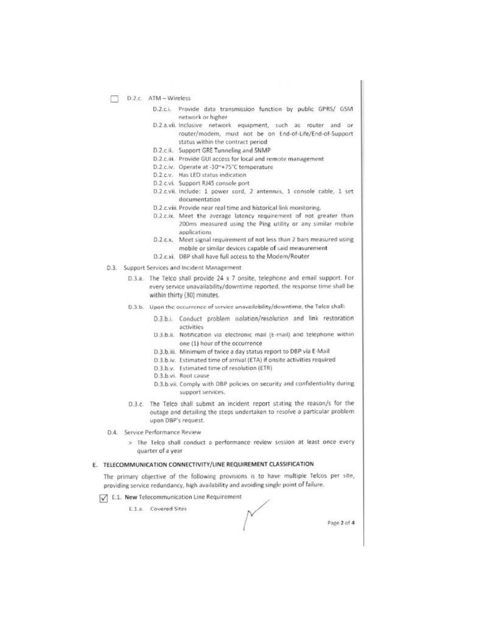- D.2.c. ATM Wireless
	- D.2.c.i. Provide data transmission function by public GPRS/ GSM network or higher
	- D.2.a.vii. Inclusive network equipment, such as router and or router/modem, must not be on End-of-Life/End-of-Support status within the contract period
	- D.2.c.ii. Support GRE Tunneling and SNMP
	- D.2.c.iii. Provide GUI access for local and remote management
	- D.2.c.iv. Operate at -30~+75°C temperature
	- D.2.c.v. Has LED status indication
	- D.2.c.vi. Support RJ45 console port
	- D.2.c.vii. Include: 1 power cord, 2 antennas, 1 console cable, 1 set documentation
	- D.2.c.viii. Provide near real time and historical link monitoring.
	- D.2.c.ix. Meet the average latency requirement of not greater than 200ms measured using the Ping utility or any similar mobile applications
	- D.2.c.x. Meet signal requirement of not less than 2 bars measured using mobile or similar devices capable of said measurement
	- D.2.c.xi. DBP shall have full access to the Modem/Router
- D.3. Support Services and Incident Management
	- D.3.a. The Telco shall provide 24 x 7 onsite, telephone and email support. For every service unavailability/downtime reported, the response time shall be within thirty (30) minutes.
	- D.3.b. Upon the occurrence of service unavailability/downtime, the Telco shall:
		- D.3.b.i. Conduct problem isolation/resolution and link restoration activities
		- D.3.b.ii. Notification via electronic mail (E-mail) and telephone within one (1) hour of the occurrence
		- D.3.b.iii. Minimum of twice a day status report to DBP via E-Mail
		- D.3.b.iv. Estimated time of arrival (ETA) if onsite activities required
		- D.3.b.v. Estimated time of resolution (ETR)
		- D.3.b.vi. Root cause
		- D.3.b.vii. Comply with DBP policies on security and confidentiality during support services.
	- D.3.c. The Telco shall submit an incident report stating the reason/s for the outage and detailing the steps undertaken to resolve a particular problem. upon DBP's request.
- D.4. Service Performance Review
	- > The Telco shall conduct a performance review session at least once every quarter of a year

# E. TELECOMMUNICATION CONNECTIVITY/LINE REQUIREMENT CLASSIFICATION

The primary objective of the following provisions is to have multiple Telcos per site, providing service redundancy, high availability and avoiding single point of failure.

E.1. New Telecommunication Line Requirement

E.1.a. Covered Sites

Page 2 of 4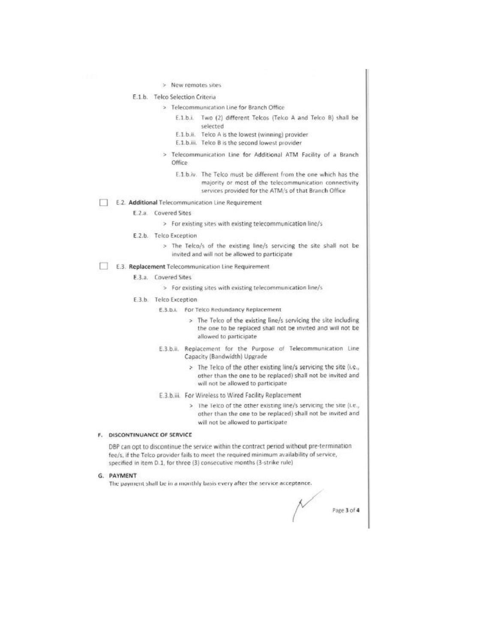> New remotes sites

# E.1.b. Telco Selection Criteria

- > Telecommunication Line for Branch Office
	- E.1.b.i. Two (2) different Telcos (Telco A and Telco B) shall be selected
	- E.1.b.ii. Telco A is the lowest (winning) provider
	- E.1.b.iii. Telco B is the second lowest provider
- > Telecommunication Line for Additional ATM Facility of a Branch Office
	- E.1.b.iv. The Telco must be different from the one which has the majority or most of the telecommunication connectivity services provided for the ATM/s of that Branch Office

E.2. Additional Telecommunication Line Requirement

E.2.a. Covered Sites

> For existing sites with existing telecommunication line/s

- E.2.b. Telco Exception
	- > The Telco/s of the existing line/s servicing the site shall not be invited and will not be allowed to participate

#### E.3. Replacement Telecommunication Line Requirement

E.3.a. Covered Sites

- > For existing sites with existing telecommunication line/s
- E.3.b. Telco Exception
	- E.3.b.i. For Telco Redundancy Replacement
		- > The Telco of the existing line/s servicing the site including the one to be replaced shall not be invited and will not be allowed to participate
	- E.3.b.ii. Replacement for the Purpose of Telecommunication Line Capacity (Bandwidth) Upgrade
		- > The Telco of the other existing line/s servicing the site (i.e., other than the one to be replaced) shall not be invited and will not be allowed to participate
	- E.3.b.iii. For Wireless to Wired Facility Replacement
		- > The Telco of the other existing line/s servicing the site (i.e., other than the one to be replaced) shall not be invited and will not be allowed to participate

#### F. DISCONTINUANCE OF SERVICE

DBP can opt to discontinue the service within the contract period without pre-termination fee/s, if the Telco provider fails to meet the required minimum availability of service, specified in item D.1, for three (3) consecutive months (3-strike rule)

G. PAYMENT

The payment shall be in a monthly basis every after the service acceptance.

Page 3 of 4